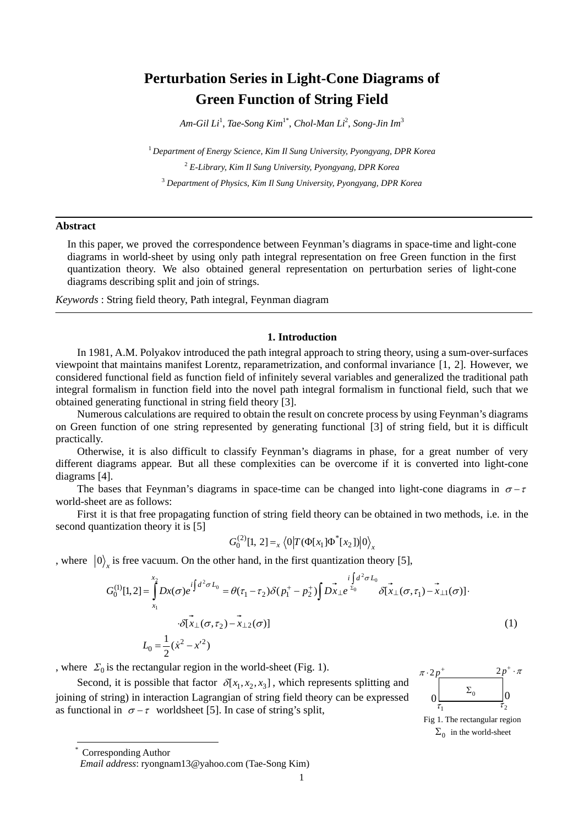# **Perturbation Series in Light-Cone Diagrams of Green Function of String Field**

*Am-Gil Li*<sup>1</sup> , *Tae-Song Kim*1\*, *Chol-Man Li*<sup>2</sup> , *Song-Jin Im*<sup>3</sup>

<sup>1</sup> *Department of Energy Science, Kim Il Sung University, Pyongyang, DPR Korea*  2  *E-Library, Kim Il Sung University, Pyongyang, DPR Korea*  3  *Department of Physics, Kim Il Sung University, Pyongyang, DPR Korea* 

## **Abstract**

In this paper, we proved the correspondence between Feynman's diagrams in space-time and light-cone diagrams in world-sheet by using only path integral representation on free Green function in the first quantization theory. We also obtained general representation on perturbation series of light-cone diagrams describing split and join of strings.

*Keywords* : String field theory, Path integral, Feynman diagram

### **1. Introduction**

In 1981, A.M. Polyakov introduced the path integral approach to string theory, using a sum-over-surfaces viewpoint that maintains manifest Lorentz, reparametrization, and conformal invariance [1, 2]. However, we considered functional field as function field of infinitely several variables and generalized the traditional path integral formalism in function field into the novel path integral formalism in functional field, such that we obtained generating functional in string field theory [3].

Numerous calculations are required to obtain the result on concrete process by using Feynman's diagrams on Green function of one string represented by generating functional [3] of string field, but it is difficult practically.

Otherwise, it is also difficult to classify Feynman's diagrams in phase, for a great number of very different diagrams appear. But all these complexities can be overcome if it is converted into light-cone diagrams [4].

The bases that Feynman's diagrams in space-time can be changed into light-cone diagrams in  $\sigma$ - $\tau$ world-sheet are as follows:

First it is that free propagating function of string field theory can be obtained in two methods, i.e. in the second quantization theory it is [5]

$$
G_0^{(2)}[1, 2] =_{x} \langle 0|T(\Phi[x_1] \Phi^*[x_2])|0\rangle_x
$$

, where  $\left|0\right\rangle$  is free vacuum. On the other hand, in the first quantization theory [5],

$$
G_0^{(1)}[1,2] = \int_{x_1}^{x_2} Dx(\sigma) e^{i \int d^2 \sigma L_0} = \theta(\tau_1 - \tau_2) \delta(p_1^+ - p_2^+) \int Dx_{\perp} e^{i \int d^2 \sigma L_0} \tilde{\delta[x_{\perp}(\sigma, \tau_1) - x_{\perp 1}(\sigma)]} \cdot \tilde{\delta[x_{\perp}(\sigma, \tau_2) - x_{\perp 2}(\sigma)]}
$$
\n
$$
L_0 = \frac{1}{2} (\dot{x}^2 - x'^2)
$$
\n(1)

, where  $\Sigma_0$  is the rectangular region in the world-sheet (Fig. 1).

Second, it is possible that factor  $\delta [x_1, x_2, x_3]$ , which represents splitting and joining of string) in interaction Lagrangian of string field theory can be expressed as functional in  $\sigma - \tau$  worldsheet [5]. In case of string's split,



Fig 1. The rectangular region  $\Sigma_0$  in the world-sheet

\* Corresponding Author

1

*Email address*: ryongnam13@yahoo.com (Tae-Song Kim)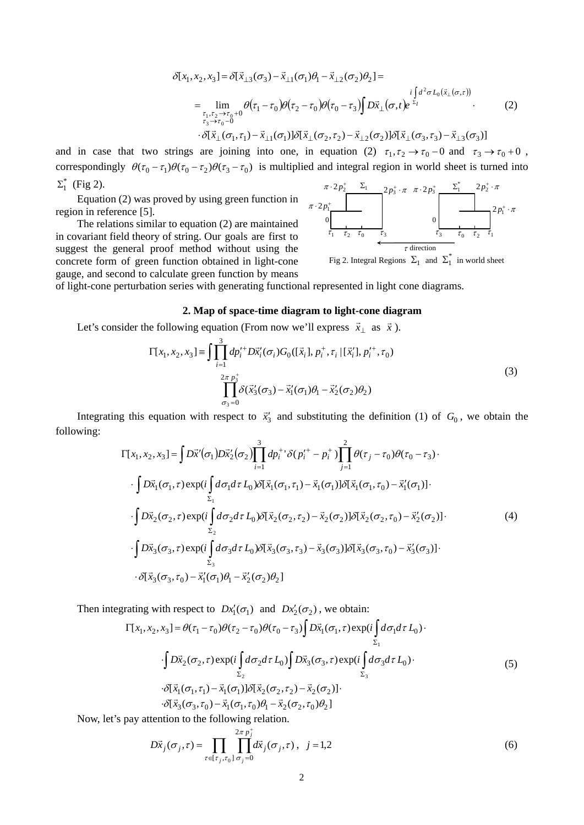$$
\delta[x_1, x_2, x_3] = \delta[\vec{x}_{\perp 3}(\sigma_3) - \vec{x}_{\perp 1}(\sigma_1)\theta_1 - \vec{x}_{\perp 2}(\sigma_2)\theta_2] =
$$
\n
$$
= \lim_{\substack{\tau_1, \tau_2 \to \tau_0 + 0 \\ \tau_3 \to \tau_0 - 0}} \theta(\tau_1 - \tau_0)\theta(\tau_2 - \tau_0)\theta(\tau_0 - \tau_3)\int D\vec{x}_{\perp}(\sigma, t)e^{\vec{z}_I} \cdot \cdot \cdot \cdot (2)
$$
\n
$$
\cdot \delta[\vec{x}_{\perp}(\sigma_1, \tau_1) - \vec{x}_{\perp 1}(\sigma_1)]\delta[\vec{x}_{\perp}(\sigma_2, \tau_2) - \vec{x}_{\perp 2}(\sigma_2)]\delta[\vec{x}_{\perp}(\sigma_3, \tau_3) - \vec{x}_{\perp 3}(\sigma_3)]
$$

and in case that two strings are joining into one, in equation (2)  $\tau_1, \tau_2 \to \tau_0 - 0$  and  $\tau_3 \to \tau_0 + 0$ , correspondingly  $\theta(\tau_0 - \tau_1)\theta(\tau_0 - \tau_2)\theta(\tau_3 - \tau_0)$  is multiplied and integral region in world sheet is turned into  $\Sigma_{1}^{*}$  (Fig 2).

Equation (2) was proved by using green function in region in reference [5].

The relations similar to equation (2) are maintained in covariant field theory of string. Our goals are first to suggest the general proof method without using the concrete form of green function obtained in light-cone gauge, and second to calculate green function by means



Fig 2. Integral Regions  $\Sigma_1$  and  $\Sigma_1^*$  in world sheet

of light-cone perturbation series with generating functional represented in light cone diagrams.

#### **2. Map of space-time diagram to light-cone diagram**

Let's consider the following equation (From now we'll express  $\vec{x}_\perp$  as  $\vec{x}$ ).

$$
\Gamma[x_1, x_2, x_3] = \int \prod_{i=1}^3 dp_i^{\prime +} D\vec{x}_i'(\sigma_i) G_0([\vec{x}_i], p_i^+, \tau_i | [\vec{x}_i'], p_i^{\prime +}, \tau_0)
$$
  

$$
\prod_{\sigma_3=0}^{2\pi p_3^+} \delta(\vec{x}_3'(\sigma_3) - \vec{x}_1'(\sigma_1)\theta_1 - \vec{x}_2'(\sigma_2)\theta_2)
$$
\n(3)

Integrating this equation with respect to  $\vec{x}'_3$  and substituting the definition (1) of  $G_0$ , we obtain the following:

$$
\Gamma[x_1, x_2, x_3] = \int D\vec{x}'(\sigma_1) D\vec{x}'_2(\sigma_2) \prod_{i=1}^3 dp_i^{+1} \delta(p_i^{+} - p_i^{+}) \prod_{j=1}^2 \theta(\tau_j - \tau_0) \theta(\tau_0 - \tau_3) \cdot \int D\vec{x}_1(\sigma_1, \tau) \exp(i \int_{\Sigma_1} d\sigma_1 d\tau L_0) \delta[\vec{x}_1(\sigma_1, \tau_1) - \vec{x}_1(\sigma_1)] \delta[\vec{x}_1(\sigma_1, \tau_0) - \vec{x}'_1(\sigma_1)] \cdot \int D\vec{x}_2(\sigma_2, \tau) \exp(i \int_{\Sigma_2} d\sigma_2 d\tau L_0) \delta[\vec{x}_2(\sigma_2, \tau_2) - \vec{x}_2(\sigma_2)] \delta[\vec{x}_2(\sigma_2, \tau_0) - \vec{x}'_2(\sigma_2)] \cdot \int D\vec{x}_3(\sigma_3, \tau) \exp(i \int_{\Sigma_3} d\sigma_3 d\tau L_0) \delta[\vec{x}_3(\sigma_3, \tau_3) - \vec{x}_3(\sigma_3)] \delta[\vec{x}_3(\sigma_3, \tau_0) - \vec{x}'_3(\sigma_3)] \cdot \delta[\vec{x}_3(\sigma_3, \tau_0) - \vec{x}'_1(\sigma_1) \theta_1 - \vec{x}'_2(\sigma_2) \theta_2]
$$
\n(4)

Then integrating with respect to  $Dx'_{1}(\sigma_{1})$  and  $Dx'_{2}(\sigma_{2})$ , we obtain:

$$
\Gamma[x_1, x_2, x_3] = \theta(\tau_1 - \tau_0)\theta(\tau_2 - \tau_0)\theta(\tau_0 - \tau_3)\int D\vec{x}_1(\sigma_1, \tau) \exp(i\int_{\Sigma_1} d\sigma_1 d\tau L_0) \cdot
$$
  
\n
$$
\int D\vec{x}_2(\sigma_2, \tau) \exp(i\int_{\Sigma_2} d\sigma_2 d\tau L_0) \int D\vec{x}_3(\sigma_3, \tau) \exp(i\int_{\Sigma_3} d\sigma_3 d\tau L_0) \cdot
$$
  
\n
$$
\delta[\vec{x}_1(\sigma_1, \tau_1) - \vec{x}_1(\sigma_1)] \delta[\vec{x}_2(\sigma_2, \tau_2) - \vec{x}_2(\sigma_2)].
$$
  
\n
$$
\delta[\vec{x}_3(\sigma_3, \tau_0) - \vec{x}_1(\sigma_1, \tau_0)\theta_1 - \vec{x}_2(\sigma_2, \tau_0)\theta_2]
$$
\n(5)

Now, let's pay attention to the following relation.

$$
D\vec{x}_j(\sigma_j, \tau) = \prod_{\tau \in [\tau_j, \tau_0]} \prod_{j=0}^{2\pi p_j^+} d\vec{x}_j(\sigma_j, \tau), \ \ j = 1, 2
$$
 (6)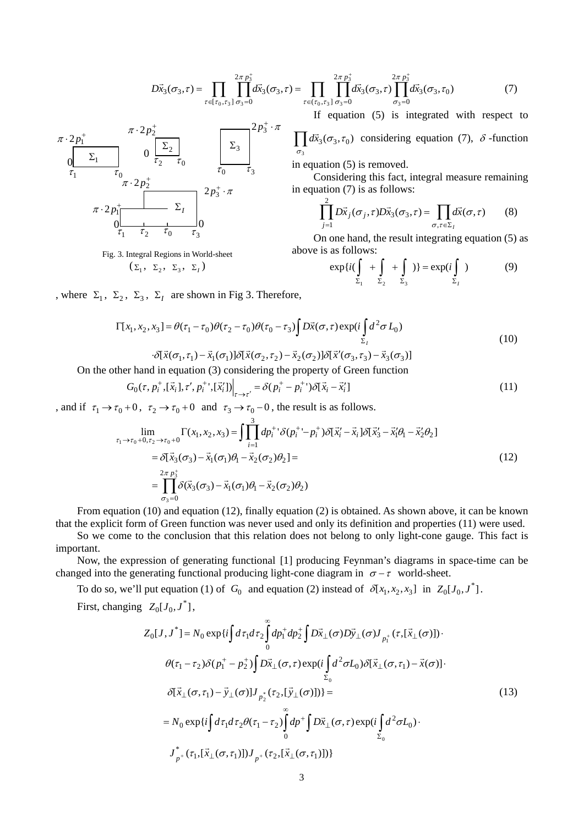$$
D\vec{x}_{3}(\sigma_{3},\tau) = \prod_{\tau \in [\tau_{0},\tau_{3}]} \prod_{\sigma_{3}=0}^{2\pi p_{3}^{+}} d\vec{x}_{3}(\sigma_{3},\tau) = \prod_{\tau \in (\tau_{0},\tau_{3}]} \prod_{\sigma_{3}=0}^{2\pi p_{3}^{+}} d\vec{x}_{3}(\sigma_{3},\tau) \prod_{\sigma_{3}=0}^{2\pi p_{3}^{+}} d\vec{x}_{3}(\sigma_{3},\tau_{0})
$$
(7)

If equation (5) is integrated with respect to

∏3  $\dot{\mathcal{F}}_3(\sigma_3, \tau_0)$ σ  $d\vec{x}_3(\sigma_3, \tau_0)$  considering equation (7),  $\delta$ -function

in equation (5) is removed.

Considering this fact, integral measure remaining in equation  $(7)$  is as follows:

$$
\prod_{j=1}^{2} D\vec{x}_j(\sigma_j, \tau) D\vec{x}_3(\sigma_3, \tau) = \prod_{\sigma, \tau \in \Sigma_I} d\vec{x}(\sigma, \tau) \qquad (8)
$$

On one hand, the result integrating equation (5) as above is as follows:

$$
\exp\{i(\int_{\Sigma_1} + \int_{\Sigma_2} + \int_{\Sigma_3})\} = \exp(i\int_{\Sigma_1})
$$
 (9)

Fig. 3. Integral Regions in World-sheet  $(\Sigma_1, \Sigma_2, \Sigma_3, \Sigma_I)$ 

 $\tau_2$   $\tau_0$ 

Σ*I*

0

 $\tau_1$   $\tau_2$   $\tau_0$   $\tau_3$ 

0 0

 $\pi \cdot 2 p_1^+$ 

0

 $\tau_1$   $\tau_0$   $\pi \cdot 2p_2^+$ 

 $\pi \cdot 2p$ 

 $\Sigma_1$ 

, where  $\Sigma_1$ ,  $\Sigma_2$ ,  $\Sigma_3$ ,  $\Sigma_i$  are shown in Fig 3. Therefore,

$$
\Gamma[x_1, x_2, x_3] = \theta(\tau_1 - \tau_0)\theta(\tau_2 - \tau_0)\theta(\tau_0 - \tau_3)\int_{\Sigma_I} D\vec{x}(\sigma, \tau) \exp(i\int_{\Sigma_I} d^2 \sigma L_0)
$$
\n
$$
\partial[\vec{x}(\sigma_1, \tau_1) - \vec{x}_1(\sigma_1)]\partial[\vec{x}(\sigma_2, \tau_2) - \vec{x}_2(\sigma_2)]\partial[\vec{x}'(\sigma_3, \tau_3) - \vec{x}_3(\sigma_3)]
$$
\n(10)

On the other hand in equation (3) considering the property of Green function

$$
G_0(\tau, p_i^+, [\vec{x}_i], \tau', p_i^+, [\vec{x}_i']) \Big|_{\tau \to \tau'} = \delta(p_i^+ - p_i^+) \delta[\vec{x}_i - \vec{x}_i'] \tag{11}
$$

, and if  $\tau_1 \to \tau_0 + 0$ ,  $\tau_2 \to \tau_0 + 0$  and  $\tau_3 \to \tau_0 - 0$ , the result is as follows.

 $2p_3^{\dagger} \cdot \pi$ 

 $\tau_0$   $\tau_3$ 

 $\pi \cdot 2 p_2^+$   $2 p_3^+ \cdot \pi$ 

 $\Sigma_2$   $\Sigma_3$ 

$$
\lim_{\tau_1 \to \tau_0 + 0, \tau_2 \to \tau_0 + 0} \Gamma(x_1, x_2, x_3) = \int \prod_{i=1}^3 dp_i^{+1} \delta(p_i^{+1} - p_i^{+}) \delta[\vec{x}_i' - \vec{x}_i] \delta[\vec{x}_3' - \vec{x}_1'\theta_1 - \vec{x}_2'\theta_2]
$$
\n
$$
= \delta[\vec{x}_3(\sigma_3) - \vec{x}_1(\sigma_1)\theta_1 - \vec{x}_2(\sigma_2)\theta_2] =
$$
\n
$$
= \prod_{\sigma_3=0}^{2\pi p_3^{+}} \delta(\vec{x}_3(\sigma_3) - \vec{x}_1(\sigma_1)\theta_1 - \vec{x}_2(\sigma_2)\theta_2)
$$
\n(12)

From equation (10) and equation (12), finally equation (2) is obtained. As shown above, it can be known that the explicit form of Green function was never used and only its definition and properties (11) were used.

So we come to the conclusion that this relation does not belong to only light-cone gauge. This fact is important.

Now, the expression of generating functional [1] producing Feynman's diagrams in space-time can be changed into the generating functional producing light-cone diagram in  $\sigma - \tau$  world-sheet.

To do so, we'll put equation (1) of  $G_0$  and equation (2) instead of  $\delta[x_1, x_2, x_3]$  in  $Z_0[J_0, J^*]$ .

First, changing  $Z_0[J_0, J^*]$ ,

$$
Z_0[J, J^*] = N_0 \exp\{i \int d\tau_1 d\tau_2 \int_0^{\infty} dp_1^+ dp_2^+ \int D\bar{x}_\perp(\sigma) D\bar{y}_\perp(\sigma) J_{p_1^+}(\tau, [\bar{x}_\perp(\sigma)]) \cdot
$$
  
\n
$$
\theta(\tau_1 - \tau_2) \delta(p_1^+ - p_2^+) \int D\bar{x}_\perp(\sigma, \tau) \exp\{i \int_{\Sigma_0} d^2 \sigma L_0 \} \delta[\bar{x}_\perp(\sigma, \tau_1) - \bar{x}(\sigma)] \cdot
$$
  
\n
$$
\delta[\bar{x}_\perp(\sigma, \tau_1) - \bar{y}_\perp(\sigma)] J_{p_2^*}(\tau_2, [\bar{y}_\perp(\sigma)]) \} =
$$
  
\n
$$
= N_0 \exp\{i \int d\tau_1 d\tau_2 \theta(\tau_1 - \tau_2) \int_0^{\infty} dp^+ \int D\bar{x}_\perp(\sigma, \tau) \exp\{i \int_{\Sigma_0} d^2 \sigma L_0 \} \cdot
$$
  
\n
$$
J_{p^+}^*(\tau_1, [\bar{x}_\perp(\sigma, \tau_1)]) J_{p^+}(\tau_2, [\bar{x}_\perp(\sigma, \tau_1)]) \}
$$
\n(13)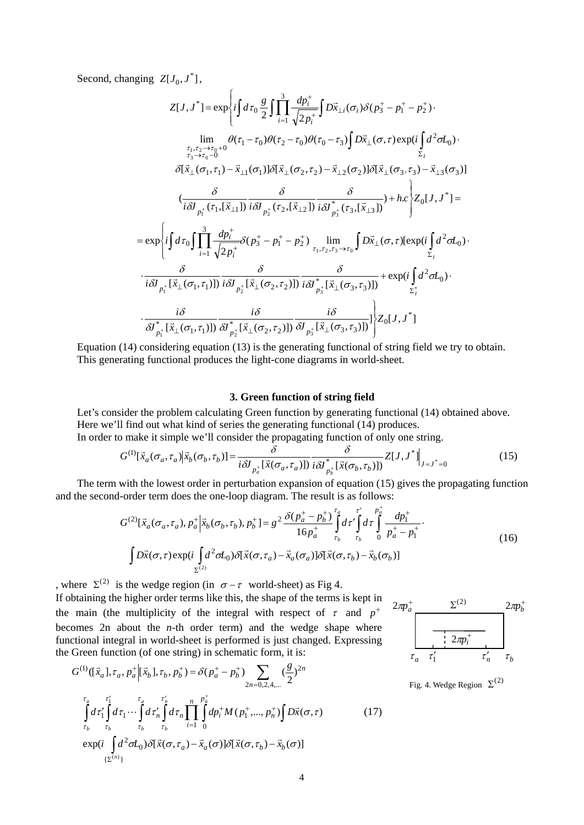Second, changing  $Z[J_0, J^*]$ ,

$$
Z[J, J^*] = \exp\left\{i\int d\tau_0 \frac{g}{2} \int \prod_{i=1}^3 \frac{dp_i^+}{\sqrt{2p_i^+}} \int D\vec{x}_{\perp i}(\sigma_i) \delta(p_3^+ - p_1^+ - p_2^+)\right\}
$$
  
\n
$$
\lim_{\substack{\tau_1, \tau_2 \to \tau_0 + 0 \\ \tau_3 \to \tau_0 - 0}} \theta(\tau_1 - \tau_0) \theta(\tau_2 - \tau_0) \theta(\tau_0 - \tau_3) \int D\vec{x}_{\perp}(\sigma, \tau) \exp(i\int d^2 \sigma L_0) \cdot \sum_{\tau_3 \to \tau_0 - 0}^{\tau_1, \tau_2 \to \tau_0 + 0} \theta(\vec{x}_1 - \tau_0) \partial[\vec{x}_{\perp}(\sigma_2, \tau_2) - \vec{x}_{\perp 2}(\sigma_2)] \delta[\vec{x}_{\perp}(\sigma_3, \tau_3) - \vec{x}_{\perp 3}(\sigma_3)]
$$
  
\n
$$
\left(\frac{\delta}{i\delta J_{p_1^+}(\tau_1, [\vec{x}_{\perp 1}])} \frac{\delta}{i\delta J_{p_2^+}(\tau_2, [\vec{x}_{\perp 2}])} \frac{\delta}{i\delta J_{p_3^+}(\tau_3, [\vec{x}_{\perp 3}])} + hc \right\} Z_0[J, J^*] =
$$
  
\n
$$
= \exp\left\{i\int d\tau_0 \int \prod_{i=1}^3 \frac{dp_i^+}{\sqrt{2p_i^+}} \delta(p_3^+ - p_1^+ - p_2^+) \prod_{\tau_1, \tau_2, \tau_3 \to \tau_0}^{\tau_1} \int D\vec{x}_{\perp}(\sigma, \tau) [\exp(i\int d^2 \sigma L_0) \cdot \frac{\delta}{i\delta J_{p_1^+}[\vec{x}_{\perp}(\sigma_1, \tau_1)]} \frac{\delta}{i\delta J_{p_2^+}[\vec{x}_{\perp}(\sigma_2, \tau_2)])} \frac{\delta}{i\delta J_{p_3^+}[\vec{x}_{\perp}(\sigma_3, \tau_3)]} + \exp(i\int d^2 \sigma L_0) \cdot \frac{i\delta}{\delta J_{p_1^+}[\vec{x}_{\perp}(\sigma_1, \tau_1)]} \
$$

Equation (14) considering equation (13) is the generating functional of string field we try to obtain. This generating functional produces the light-cone diagrams in world-sheet.

# **3. Green function of string field**

Let's consider the problem calculating Green function by generating functional (14) obtained above. Here we'll find out what kind of series the generating functional (14) produces.

In order to make it simple we'll consider the propagating function of only one string.

$$
G^{(1)}[\vec{x}_a(\sigma_a, \tau_a)|\vec{x}_b(\sigma_b, \tau_b)] = \frac{\delta}{i\delta J_{p_a^+}[\vec{x}(\sigma_a, \tau_a)])} \frac{\delta}{i\delta J_{p_b^+}^*[\vec{x}(\sigma_b, \tau_b)]} Z[J, J^*]_{J=J^*=0}
$$
(15)

The term with the lowest order in perturbation expansion of equation (15) gives the propagating function and the second-order term does the one-loop diagram. The result is as follows:

$$
G^{(2)}[\vec{x}_a(\sigma_a, \tau_a), p_a^+ \, | \vec{x}_b(\sigma_b, \tau_b), p_b^+] = g^{2} \frac{\delta(p_a^+ - p_b^+)}{16p_a^+} \int_{\tau_b}^{\tau_a} d\tau' \int_{\tau_b}^{\tau'} d\tau \int_{0}^{\tau'} \frac{dp_1^+}{p_a^+ - p_1^+}.
$$
\n
$$
\int D\vec{x}(\sigma, \tau) \exp(i \int_{\Sigma^{(2)}} d^2 \sigma L_0) \delta[\vec{x}(\sigma, \tau_a) - \vec{x}_a(\sigma_a)] \delta[\vec{x}(\sigma, \tau_b) - \vec{x}_b(\sigma_b)]
$$
\n(16)

, where  $\Sigma^{(2)}$  is the wedge region (in  $\sigma - \tau$  world-sheet) as Fig 4. If obtaining the higher order terms like this, the shape of the terms is kept in the main (the multiplicity of the integral with respect of  $\tau$  and  $p^+$ becomes 2n about the  $n$ -th order term) and the wedge shape where functional integral in world-sheet is performed is just changed. Expressing the Green function (of one string) in schematic form, it is:

$$
G^{(1)}([\vec{x}_a], \tau_a, p_a^+ | [\vec{x}_b], \tau_b, p_b^+) = \delta(p_a^+ - p_b^+) \sum_{2n = 0, 2, 4, ...} (\frac{g}{2})^{2n}
$$
  

$$
\int_{\tau_b}^{\tau_a} d\tau'_1 \int_{\tau_b}^{\tau'_1} d\tau_1 \cdots \int_{\tau_b}^{\tau_a} d\tau'_n \int_{\tau_b}^{\tau'_n} d\tau_n \prod_{i=1}^n \int_0^{\rho_a^+} dp_i^+ M(p_1^+, ..., p_n^+) \int D\vec{x}(\sigma, \tau) \qquad (17)
$$
  

$$
\exp(i \int_{\{\Sigma^{(n)}\}}^{\tau_a^0} d^2 \sigma L_0) \delta[\vec{x}(\sigma, \tau_a) - \vec{x}_a(\sigma)] \delta[\vec{x}(\sigma, \tau_b) - \vec{x}_b(\sigma)]
$$



Fig. 4. Wedge Region  $\Sigma^{(2)}$